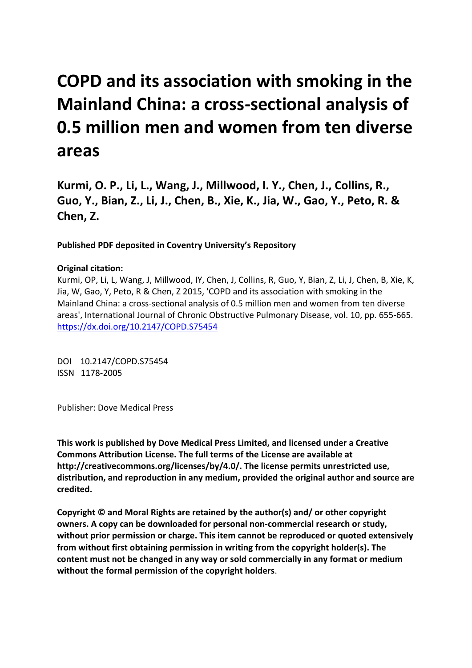## **COPD and its association with smoking in the Mainland China: a cross-sectional analysis of 0.5 million men and women from ten diverse areas**

**Kurmi, O. P., Li, L., Wang, J., Millwood, I. Y., Chen, J., Collins, R., Guo, Y., Bian, Z., Li, J., Chen, B., Xie, K., Jia, W., Gao, Y., Peto, R. & Chen, Z.**

**Published PDF deposited in Coventry University's Repository** 

#### **Original citation:**

Kurmi, OP, Li, L, Wang, J, Millwood, IY, Chen, J, Collins, R, Guo, Y, Bian, Z, Li, J, Chen, B, Xie, K, Jia, W, Gao, Y, Peto, R & Chen, Z 2015, 'COPD and its association with smoking in the Mainland China: a cross-sectional analysis of 0.5 million men and women from ten diverse areas', International Journal of Chronic Obstructive Pulmonary Disease, vol. 10, pp. 655-665. https://dx.doi.org/10.2147/COPD.S75454

DOI 10.2147/COPD.S75454 ISSN 1178-2005

Publisher: Dove Medical Press

**This work is published by Dove Medical Press Limited, and licensed under a Creative Commons Attribution License. The full terms of the License are available at http://creativecommons.org/licenses/by/4.0/. The license permits unrestricted use, distribution, and reproduction in any medium, provided the original author and source are credited.**

**Copyright © and Moral Rights are retained by the author(s) and/ or other copyright owners. A copy can be downloaded for personal non-commercial research or study, without prior permission or charge. This item cannot be reproduced or quoted extensively from without first obtaining permission in writing from the copyright holder(s). The content must not be changed in any way or sold commercially in any format or medium without the formal permission of the copyright holders**.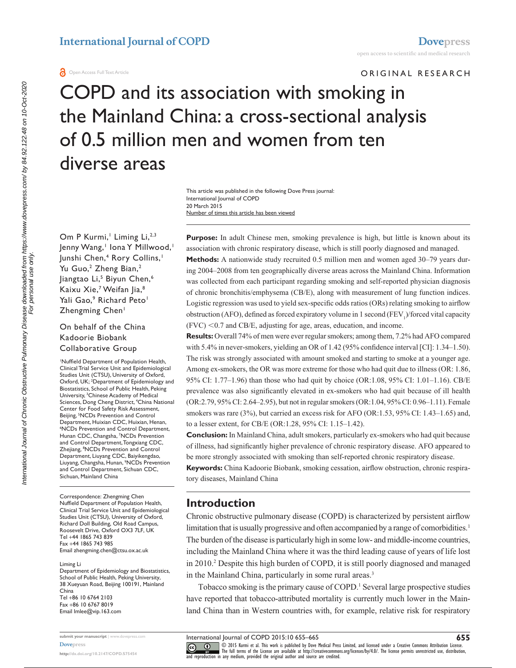Open Access Full Text Article

ORIGINAL RESEARCH

# COPD and its association with smoking in the Mainland China: a cross-sectional analysis of 0.5 million men and women from ten diverse areas

This article was published in the following Dove Press journal: International Journal of COPD 20 March 2015 Number of times this article has been viewed

Om P Kurmi,<sup>1</sup> Liming Li,<sup>2,3</sup> Jenny Wang, Iona Y Millwood, I Junshi Chen,<sup>4</sup> Rory Collins,<sup>1</sup> Yu Guo,<sup>2</sup> Zheng Bian,<sup>2</sup> Jiangtao Li,<sup>5</sup> Biyun Chen,<sup>6</sup> Kaixu Xie,<sup>7</sup> Weifan Jia,<sup>8</sup> Yali Gao,<sup>9</sup> Richard Peto<sup>1</sup> Zhengming Chen<sup>1</sup>

#### On behalf of the China Kadoorie Biobank Collaborative Group

1 Nuffield Department of Population Health, Clinical Trial Service Unit and Epidemiological Studies Unit (CTSU), University of Oxford, Oxford, UK; <sup>2</sup>Department of Epidemiology and Biostatistics, School of Public Health, Peking University, 3 Chinese Academy of Medical Sciences, Dong Cheng District, <sup>4</sup>China National Center for Food Safety Risk Assessment, Beijing, <sup>5</sup>NCDs Prevention and Control Department, Huixian CDC, Huixian, Henan, 6 NCDs Prevention and Control Department, Hunan CDC, Changsha, 7 NCDs Prevention and Control Department, Tongxiang CDC, Zhejiang, <sup>8</sup> NCDs Prevention and Control Department, Liuyang CDC, Baiyikengdao, Liuyang, Changsha, Hunan, <sup>9</sup>NCDs Prevention and Control Department, Sichuan CDC, Sichuan, Mainland China

Correspondence: Zhengming Chen Nuffield Department of Population Health, Clinical Trial Service Unit and Epidemiological Studies Unit (CTSU), University of Oxford, Richard Doll Building, Old Road Campus, Roosevelt Drive, Oxford OX3 7LF, UK Tel +44 1865 743 839 Fax +44 1865 743 985 Email z[hengming.chen@ctsu.ox.ac.uk](mailto:zhengming.chen@ctsu.ox.ac.uk)

#### Liming Li

Department of Epidemiology and Biostatistics, School of Public Health, Peking University, 38 Xueyuan Road, Beijing 100191, Mainland China Tel +86 10 6764 2103 Fax +86 10 6767 8019 Email l[mlee@vip.163.co](mailto:lmlee@vip.163.com)m

**submit your manuscript** | <www.dovepress.com>

**[Dovepress](www.dovepress.com)**

**http://dx.doi.org/10.2147/COPD.S75454**

**Purpose:** In adult Chinese men, smoking prevalence is high, but little is known about its association with chronic respiratory disease, which is still poorly diagnosed and managed.

**Methods:** A nationwide study recruited 0.5 million men and women aged 30–79 years during 2004–2008 from ten geographically diverse areas across the Mainland China. Information was collected from each participant regarding smoking and self-reported physician diagnosis of chronic bronchitis/emphysema (CB/E), along with measurement of lung function indices. Logistic regression was used to yield sex-specific odds ratios (ORs) relating smoking to airflow obstruction (AFO), defined as forced expiratory volume in 1 second (FEV<sub>1</sub>)/forced vital capacity  $(FVC)$  <0.7 and CB/E, adjusting for age, areas, education, and income.

**Results:** Overall 74% of men were ever regular smokers; among them, 7.2% had AFO compared with 5.4% in never-smokers, yielding an OR of 1.42 (95% confidence interval [CI]: 1.34–1.50). The risk was strongly associated with amount smoked and starting to smoke at a younger age. Among ex-smokers, the OR was more extreme for those who had quit due to illness (OR: 1.86, 95% CI: 1.77–1.96) than those who had quit by choice (OR:1.08, 95% CI: 1.01–1.16). CB/E prevalence was also significantly elevated in ex-smokers who had quit because of ill health (OR:2.79, 95% CI: 2.64–2.95), but not in regular smokers (OR:1.04, 95% CI: 0.96–1.11). Female smokers was rare (3%), but carried an excess risk for AFO (OR:1.53, 95% CI: 1.43–1.65) and, to a lesser extent, for CB/E (OR:1.28, 95% CI: 1.15–1.42).

**Conclusion:** In Mainland China, adult smokers, particularly ex-smokers who had quit because of illness, had significantly higher prevalence of chronic respiratory disease. AFO appeared to be more strongly associated with smoking than self-reported chronic respiratory disease.

**Keywords:** China Kadoorie Biobank, smoking cessation, airflow obstruction, chronic respiratory diseases, Mainland China

### **Introduction**

Chronic obstructive pulmonary disease (COPD) is characterized by persistent airflow limitation that is usually progressive and often accompanied by a range of comorbidities.<sup>1</sup> The burden of the disease is particularly high in some low- and middle-income countries, including the Mainland China where it was the third leading cause of years of life lost in 2010.2 Despite this high burden of COPD, it is still poorly diagnosed and managed in the Mainland China, particularly in some rural areas.<sup>3</sup>

Tobacco smoking is the primary cause of COPD.<sup>1</sup> Several large prospective studies have reported that tobacco-attributed mortality is currently much lower in the Mainland China than in Western countries with, for example, relative risk for respiratory

For personal use only.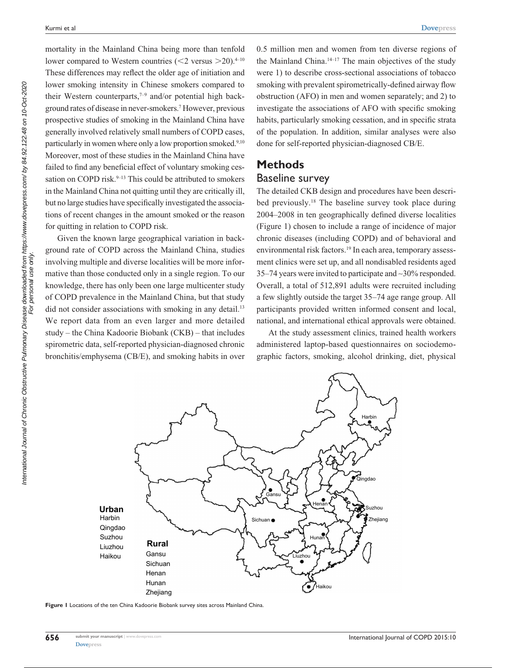mortality in the Mainland China being more than tenfold lower compared to Western countries  $(<2$  versus  $>20$ ).<sup>4-10</sup> These differences may reflect the older age of initiation and lower smoking intensity in Chinese smokers compared to their Western counterparts, $7-9$  and/or potential high background rates of disease in never-smokers.7 However, previous prospective studies of smoking in the Mainland China have generally involved relatively small numbers of COPD cases, particularly in women where only a low proportion smoked.<sup>9,10</sup> Moreover, most of these studies in the Mainland China have failed to find any beneficial effect of voluntary smoking cessation on COPD risk.<sup>9-13</sup> This could be attributed to smokers in the Mainland China not quitting until they are critically ill, but no large studies have specifically investigated the associations of recent changes in the amount smoked or the reason for quitting in relation to COPD risk.

Given the known large geographical variation in background rate of COPD across the Mainland China, studies involving multiple and diverse localities will be more informative than those conducted only in a single region. To our knowledge, there has only been one large multicenter study of COPD prevalence in the Mainland China, but that study did not consider associations with smoking in any detail.<sup>13</sup> We report data from an even larger and more detailed study – the China Kadoorie Biobank (CKB) – that includes spirometric data, self-reported physician-diagnosed chronic bronchitis/emphysema (CB/E), and smoking habits in over 0.5 million men and women from ten diverse regions of the Mainland China.<sup>14–17</sup> The main objectives of the study were 1) to describe cross-sectional associations of tobacco smoking with prevalent spirometrically-defined airway flow obstruction (AFO) in men and women separately; and 2) to investigate the associations of AFO with specific smoking habits, particularly smoking cessation, and in specific strata of the population. In addition, similar analyses were also done for self-reported physician-diagnosed CB/E.

### **Methods**

#### Baseline survey

The detailed CKB design and procedures have been described previously.18 The baseline survey took place during 2004–2008 in ten geographically defined diverse localities (Figure 1) chosen to include a range of incidence of major chronic diseases (including COPD) and of behavioral and environmental risk factors.<sup>19</sup> In each area, temporary assessment clinics were set up, and all nondisabled residents aged 35–74 years were invited to participate and ~30% responded. Overall, a total of 512,891 adults were recruited including a few slightly outside the target 35–74 age range group. All participants provided written informed consent and local, national, and international ethical approvals were obtained.

At the study assessment clinics, trained health workers administered laptop-based questionnaires on sociodemographic factors, smoking, alcohol drinking, diet, physical

*+DUELQ* **LJ**<br>Qingdac Gansu *+HQDQ* Urban **Suzhou** *+DUELQ* Sichuan **A** Zheiiang Qingdao Suzhou *+XQDQ* **Rural** Liuzhou Gansu Haikou Liuzhou Sichuan *+HQDQ* Hunan ٠ *+DLNRX* **Zhejiang** 

Figure 1 Locations of the ten China Kadoorie Biobank survey sites across Mainland China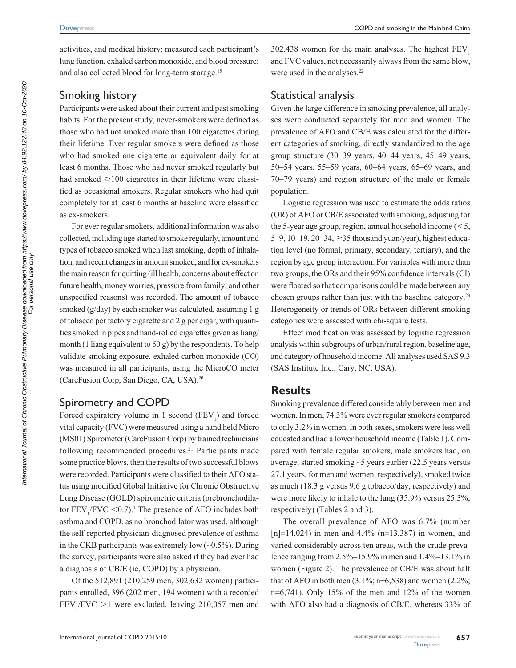activities, and medical history; measured each participant's lung function, exhaled carbon monoxide, and blood pressure; and also collected blood for long-term storage.15

## Smoking history

Participants were asked about their current and past smoking habits. For the present study, never-smokers were defined as those who had not smoked more than 100 cigarettes during their lifetime. Ever regular smokers were defined as those who had smoked one cigarette or equivalent daily for at least 6 months. Those who had never smoked regularly but had smoked  $\geq 100$  cigarettes in their lifetime were classified as occasional smokers. Regular smokers who had quit completely for at least 6 months at baseline were classified as ex-smokers.

For ever regular smokers, additional information was also collected, including age started to smoke regularly, amount and types of tobacco smoked when last smoking, depth of inhalation, and recent changes in amount smoked, and for ex-smokers the main reason for quitting (ill health, concerns about effect on future health, money worries, pressure from family, and other unspecified reasons) was recorded. The amount of tobacco smoked (g/day) by each smoker was calculated, assuming 1 g of tobacco per factory cigarette and 2 g per cigar, with quantities smoked in pipes and hand-rolled cigarettes given as liang/ month (1 liang equivalent to 50 g) by the respondents. To help validate smoking exposure, exhaled carbon monoxide (CO) was measured in all participants, using the MicroCO meter (CareFusion Corp, San Diego, CA, USA).20

## Spirometry and COPD

Forced expiratory volume in 1 second  $(FEV_1)$  and forced vital capacity (FVC) were measured using a hand held Micro (MS01) Spirometer (CareFusion Corp) by trained technicians following recommended procedures.<sup>21</sup> Participants made some practice blows, then the results of two successful blows were recorded. Participants were classified to their AFO status using modified Global Initiative for Chronic Obstructive Lung Disease (GOLD) spirometric criteria (prebronchodilator  $FEV_1/FVC \le 0.7$ .<sup>1</sup> The presence of AFO includes both asthma and COPD, as no bronchodilator was used, although the self-reported physician-diagnosed prevalence of asthma in the CKB participants was extremely low  $(-0.5\%)$ . During the survey, participants were also asked if they had ever had a diagnosis of CB/E (ie, COPD) by a physician.

Of the 512,891 (210,259 men, 302,632 women) participants enrolled, 396 (202 men, 194 women) with a recorded  $FEV_1/FVC > 1$  were excluded, leaving 210,057 men and  $302,438$  women for the main analyses. The highest  $FEV<sub>1</sub>$ and FVC values, not necessarily always from the same blow, were used in the analyses.<sup>22</sup>

## Statistical analysis

Given the large difference in smoking prevalence, all analyses were conducted separately for men and women. The prevalence of AFO and CB/E was calculated for the different categories of smoking, directly standardized to the age group structure (30–39 years, 40–44 years, 45–49 years, 50–54 years, 55–59 years, 60–64 years, 65–69 years, and 70–79 years) and region structure of the male or female population.

Logistic regression was used to estimate the odds ratios (OR) of AFO or CB/E associated with smoking, adjusting for the 5-year age group, region, annual household income  $(< 5$ , 5–9, 10–19, 20–34,  $\geq$ 35 thousand yuan/year), highest education level (no formal, primary, secondary, tertiary), and the region by age group interaction. For variables with more than two groups, the ORs and their 95% confidence intervals (CI) were floated so that comparisons could be made between any chosen groups rather than just with the baseline category.23 Heterogeneity or trends of ORs between different smoking categories were assessed with chi-square tests.

Effect modification was assessed by logistic regression analysis within subgroups of urban/rural region, baseline age, and category of household income. All analyses used SAS 9.3 (SAS Institute Inc., Cary, NC, USA).

#### **Results**

Smoking prevalence differed considerably between men and women. In men, 74.3% were ever regular smokers compared to only 3.2% in women. In both sexes, smokers were less well educated and had a lower household income (Table 1). Compared with female regular smokers, male smokers had, on average, started smoking ~5 years earlier (22.5 years versus 27.1 years, for men and women, respectively), smoked twice as much (18.3 g versus 9.6 g tobacco/day, respectively) and were more likely to inhale to the lung (35.9% versus 25.3%, respectively) (Tables 2 and 3).

The overall prevalence of AFO was 6.7% (number  $[n]=14,024$  in men and 4.4% (n=13,387) in women, and varied considerably across ten areas, with the crude prevalence ranging from 2.5%–15.9% in men and 1.4%–13.1% in women (Figure 2). The prevalence of CB/E was about half that of AFO in both men  $(3.1\%; n=6,538)$  and women  $(2.2\%;$ n=6,741). Only 15% of the men and 12% of the women with AFO also had a diagnosis of CB/E, whereas 33% of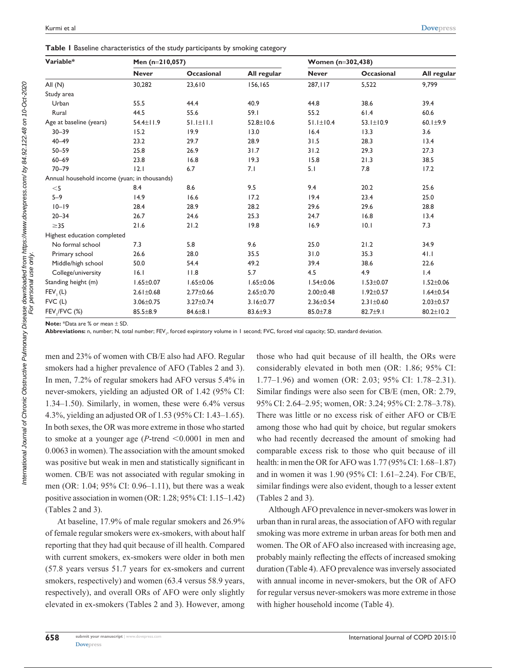| Variable*                                    | Men $(n=210,057)$ |                   |                 | Women (n=302,438) |                   |                 |
|----------------------------------------------|-------------------|-------------------|-----------------|-------------------|-------------------|-----------------|
|                                              | <b>Never</b>      | <b>Occasional</b> | All regular     | <b>Never</b>      | <b>Occasional</b> | All regular     |
| All $(N)$                                    | 30,282            | 23,610            | 156,165         | 287, II7          | 5,522             | 9.799           |
| Study area                                   |                   |                   |                 |                   |                   |                 |
| Urban                                        | 55.5              | 44.4              | 40.9            | 44.8              | 38.6              | 39.4            |
| Rural                                        | 44.5              | 55.6              | 59.1            | 55.2              | 61.4              | 60.6            |
| Age at baseline (years)                      | 54.4±11.9         | $51.1 \pm 11.1$   | $52.8 \pm 10.6$ | $51.1 \pm 10.4$   | $53.1 \pm 10.9$   | 60.1 $\pm$ 9.9  |
| $30 - 39$                                    | 15.2              | 19.9              | 13.0            | 16.4              | 13.3              | 3.6             |
| $40 - 49$                                    | 23.2              | 29.7              | 28.9            | 31.5              | 28.3              | 13.4            |
| $50 - 59$                                    | 25.8              | 26.9              | 31.7            | 31.2              | 29.3              | 27.3            |
| $60 - 69$                                    | 23.8              | 16.8              | 19.3            | 15.8              | 21.3              | 38.5            |
| $70 - 79$                                    | 2.1               | 6.7               | 7.1             | 5.1               | 7.8               | 17.2            |
| Annual household income (yuan; in thousands) |                   |                   |                 |                   |                   |                 |
| $<$ 5                                        | 8.4               | 8.6               | 9.5             | 9.4               | 20.2              | 25.6            |
| $5 - 9$                                      | 14.9              | 16.6              | 17.2            | 19.4              | 23.4              | 25.0            |
| $10 - 19$                                    | 28.4              | 28.9              | 28.2            | 29.6              | 29.6              | 28.8            |
| $20 - 34$                                    | 26.7              | 24.6              | 25.3            | 24.7              | 16.8              | 13.4            |
| $\geq$ 35                                    | 21.6              | 21.2              | 19.8            | 16.9              | 10.1              | 7.3             |
| Highest education completed                  |                   |                   |                 |                   |                   |                 |
| No formal school                             | 7.3               | 5.8               | 9.6             | 25.0              | 21.2              | 34.9            |
| Primary school                               | 26.6              | 28.0              | 35.5            | 31.0              | 35.3              | 41.1            |
| Middle/high school                           | 50.0              | 54.4              | 49.2            | 39.4              | 38.6              | 22.6            |
| College/university                           | 16.1              | 11.8              | 5.7             | 4.5               | 4.9               | $\mathsf{I}$ .4 |
| Standing height (m)                          | $1.65 \pm 0.07$   | $1.65 \pm 0.06$   | $1.65 \pm 0.06$ | $1.54 \pm 0.06$   | $1.53 \pm 0.07$   | $1.52 \pm 0.06$ |
| FEV, (L)                                     | $2.61 \pm 0.68$   | $2.77 \pm 0.66$   | $2.65 \pm 0.70$ | $2.00 \pm 0.48$   | $1.92 \pm 0.57$   | $1.64 \pm 0.54$ |
| $FVC$ (L)                                    | $3.06 \pm 0.75$   | $3.27 \pm 0.74$   | $3.16 \pm 0.77$ | $2.36 \pm 0.54$   | $2.31 \pm 0.60$   | $2.03 \pm 0.57$ |
| FEV / FVC (%)                                | $85.5 \pm 8.9$    | $84.6 \pm 8.1$    | $83.6 \pm 9.3$  | $85.0 \pm 7.8$    | $82.7 + 9.1$      | $80.2 \pm 10.2$ |

**Note:** \*Data are % or mean ± SD.

 ${\sf Abbreviations:}$  n, number; N, total number; FEV<sub>1</sub>, forced expiratory volume in 1 second; FVC, forced vital capacity; SD, standard deviation.

men and 23% of women with CB/E also had AFO. Regular smokers had a higher prevalence of AFO (Tables 2 and 3). In men, 7.2% of regular smokers had AFO versus 5.4% in never-smokers, yielding an adjusted OR of 1.42 (95% CI: 1.34–1.50). Similarly, in women, these were 6.4% versus 4.3%, yielding an adjusted OR of 1.53 (95% CI: 1.43–1.65). In both sexes, the OR was more extreme in those who started to smoke at a younger age  $(P$ -trend  $\leq 0.0001$  in men and 0.0063 in women). The association with the amount smoked was positive but weak in men and statistically significant in women. CB/E was not associated with regular smoking in men (OR: 1.04; 95% CI: 0.96–1.11), but there was a weak positive association in women (OR: 1.28; 95% CI: 1.15–1.42) (Tables 2 and 3).

At baseline, 17.9% of male regular smokers and 26.9% of female regular smokers were ex-smokers, with about half reporting that they had quit because of ill health. Compared with current smokers, ex-smokers were older in both men (57.8 years versus 51.7 years for ex-smokers and current smokers, respectively) and women (63.4 versus 58.9 years, respectively), and overall ORs of AFO were only slightly elevated in ex-smokers (Tables 2 and 3). However, among those who had quit because of ill health, the ORs were considerably elevated in both men (OR: 1.86; 95% CI: 1.77–1.96) and women (OR: 2.03; 95% CI: 1.78–2.31). Similar findings were also seen for CB/E (men, OR: 2.79, 95% CI: 2.64–2.95; women, OR: 3.24; 95% CI: 2.78–3.78). There was little or no excess risk of either AFO or CB/E among those who had quit by choice, but regular smokers who had recently decreased the amount of smoking had comparable excess risk to those who quit because of ill health: in men the OR for AFO was 1.77 (95% CI: 1.68–1.87) and in women it was 1.90 (95% CI: 1.61–2.24). For CB/E, similar findings were also evident, though to a lesser extent (Tables 2 and 3).

Although AFO prevalence in never-smokers was lower in urban than in rural areas, the association of AFO with regular smoking was more extreme in urban areas for both men and women. The OR of AFO also increased with increasing age, probably mainly reflecting the effects of increased smoking duration (Table 4). AFO prevalence was inversely associated with annual income in never-smokers, but the OR of AFO for regular versus never-smokers was more extreme in those with higher household income (Table 4).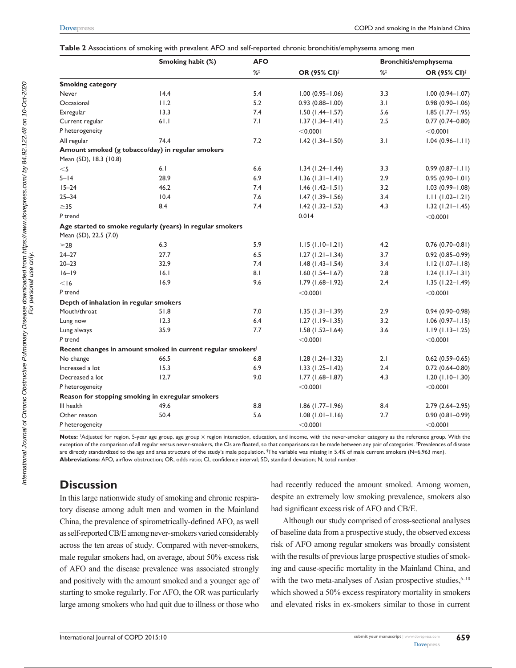|                                        | Smoking habit (%)                                                       | <b>AFO</b> |                          |     | Bronchitis/emphysema     |
|----------------------------------------|-------------------------------------------------------------------------|------------|--------------------------|-----|--------------------------|
|                                        |                                                                         | %‡         | OR (95% CI) <sup>†</sup> | %‡  | OR (95% CI) <sup>†</sup> |
| <b>Smoking category</b>                |                                                                         |            |                          |     |                          |
| Never                                  | 14.4                                                                    | 5.4        | $1.00(0.95 - 1.06)$      | 3.3 | $1.00(0.94 - 1.07)$      |
| Occasional                             | 11.2                                                                    | 5.2        | $0.93(0.88 - 1.00)$      | 3.1 | $0.98(0.90 - 1.06)$      |
| Exregular                              | 13.3                                                                    | 7.4        | $1.50$ (1.44-1.57)       | 5.6 | $1.85$ (1.77-1.95)       |
| Current regular                        | 61.1                                                                    | 7.1        | $1.37(1.34 - 1.41)$      | 2.5 | $0.77(0.74 - 0.80)$      |
| P heterogeneity                        |                                                                         |            | $<$ 0.000 l              |     | $<$ 0.000 l              |
| All regular                            | 74.4                                                                    | 7.2        | $1.42$ (1.34-1.50)       | 3.1 | $1.04(0.96 - 1.11)$      |
|                                        | Amount smoked (g tobacco/day) in regular smokers                        |            |                          |     |                          |
| Mean (SD), 18.3 (10.8)                 |                                                                         |            |                          |     |                          |
| $<$ 5                                  | 6.1                                                                     | 6.6        | $1.34(1.24 - 1.44)$      | 3.3 | $0.99(0.87 - 1.11)$      |
| $5 - 14$                               | 28.9                                                                    | 6.9        | $1.36(1.31 - 1.41)$      | 2.9 | $0.95(0.90 - 1.01)$      |
| $15 - 24$                              | 46.2                                                                    | 7.4        | $1.46$ (1.42-1.51)       | 3.2 | $1.03(0.99 - 1.08)$      |
| $25 - 34$                              | 10.4                                                                    | 7.6        | $1.47(1.39 - 1.56)$      | 3.4 | $1.11(1.02 - 1.21)$      |
| $\geq$ 35                              | 8.4                                                                     | 7.4        | $1.42$ (1.32-1.52)       | 4.3 | $1.32(1.21 - 1.45)$      |
| P trend                                |                                                                         |            | 0.014                    |     | $<$ 0.000 l              |
|                                        | Age started to smoke regularly (years) in regular smokers               |            |                          |     |                          |
| Mean (SD), 22.5 (7.0)                  |                                                                         |            |                          |     |                          |
| $\geq$ 28                              | 6.3                                                                     | 5.9        | $1.15(1.10 - 1.21)$      | 4.2 | $0.76(0.70-0.81)$        |
| $24 - 27$                              | 27.7                                                                    | 6.5        | $1.27(1.21 - 1.34)$      | 3.7 | $0.92(0.85 - 0.99)$      |
| $20 - 23$                              | 32.9                                                                    | 7.4        | $1.48(1.43 - 1.54)$      | 3.4 | $1.12(1.07 - 1.18)$      |
| $16 - 19$                              | 16.1                                                                    | 8.1        | $1.60$ (1.54-1.67)       | 2.8 | $1.24$ (1.17–1.31)       |
| $<$ 16                                 | 16.9                                                                    | 9.6        | $1.79(1.68 - 1.92)$      | 2.4 | $1.35(1.22 - 1.49)$      |
| P trend                                |                                                                         |            | < 0.0001                 |     | < 0.0001                 |
| Depth of inhalation in regular smokers |                                                                         |            |                          |     |                          |
| Mouth/throat                           | 51.8                                                                    | 7.0        | $1.35(1.31 - 1.39)$      | 2.9 | $0.94(0.90 - 0.98)$      |
| Lung now                               | 12.3                                                                    | 6.4        | $1.27(1.19 - 1.35)$      | 3.2 | $1.06(0.97 - 1.15)$      |
| Lung always                            | 35.9                                                                    | 7.7        | $1.58(1.52 - 1.64)$      | 3.6 | $1.19(1.13 - 1.25)$      |
| P trend                                |                                                                         |            | $<$ 0.000 l              |     | $<$ 0.000 l              |
|                                        | Recent changes in amount smoked in current regular smokers <sup>§</sup> |            |                          |     |                          |
| No change                              | 66.5                                                                    | 6.8        | $1.28(1.24 - 1.32)$      | 2.1 | $0.62$ (0.59-0.65)       |
| Increased a lot                        | 15.3                                                                    | 6.9        | $1.33(1.25 - 1.42)$      | 2.4 | $0.72(0.64 - 0.80)$      |
| Decreased a lot                        | 12.7                                                                    | 9.0        | $1.77(1.68 - 1.87)$      | 4.3 | $1.20$ (1.10-1.30)       |
| P heterogeneity                        |                                                                         |            | $<$ 0.000 l              |     | $<$ 0.000 l              |
|                                        | Reason for stopping smoking in exregular smokers                        |            |                          |     |                          |
| III health                             | 49.6                                                                    | 8.8        | $1.86$ (1.77-1.96)       | 8.4 | $2.79(2.64 - 2.95)$      |
| Other reason                           | 50.4                                                                    | 5.6        | $1.08(1.01 - 1.16)$      | 2.7 | $0.90(0.81 - 0.99)$      |
| P heterogeneity                        |                                                                         |            | $<$ 0.000 l              |     | < 0.0001                 |

**Notes:** † Adjusted for region, 5-year age group, age group × region interaction, education, and income, with the never-smoker category as the reference group. With the exception of the comparison of all regular versus never-smokers, the CIs are floated, so that comparisons can be made between any pair of categories. ‡ Prevalences of disease are directly standardized to the age and area structure of the study's male population. §The variable was missing in 5.4% of male current smokers (N=6,963 men). **Abbreviations:** AFO, airflow obstruction; OR, odds ratio; CI, confidence interval; SD, standard deviation; N, total number.

## **Discussion**

In this large nationwide study of smoking and chronic respiratory disease among adult men and women in the Mainland China, the prevalence of spirometrically-defined AFO, as well as self-reported CB/E among never-smokers varied considerably across the ten areas of study. Compared with never-smokers, male regular smokers had, on average, about 50% excess risk of AFO and the disease prevalence was associated strongly and positively with the amount smoked and a younger age of starting to smoke regularly. For AFO, the OR was particularly large among smokers who had quit due to illness or those who had recently reduced the amount smoked. Among women, despite an extremely low smoking prevalence, smokers also had significant excess risk of AFO and CB/E.

Although our study comprised of cross-sectional analyses of baseline data from a prospective study, the observed excess risk of AFO among regular smokers was broadly consistent with the results of previous large prospective studies of smoking and cause-specific mortality in the Mainland China, and with the two meta-analyses of Asian prospective studies, $6-10$ which showed a 50% excess respiratory mortality in smokers and elevated risks in ex-smokers similar to those in current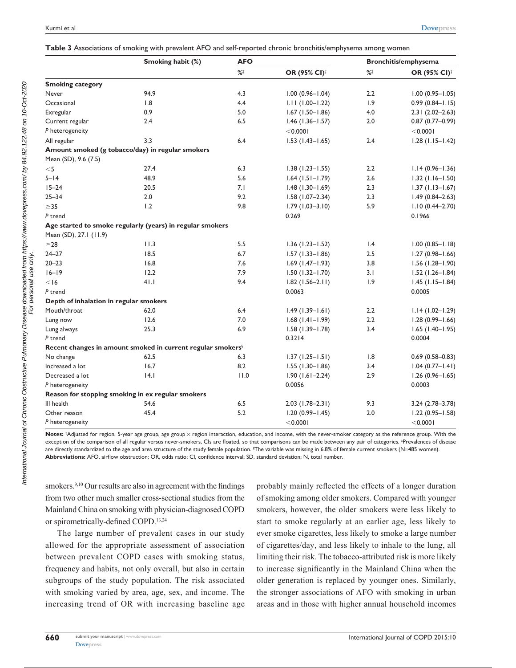|  |  |  |  |  |  | Table 3 Associations of smoking with prevalent AFO and self-reported chronic bronchitis/emphysema among women |
|--|--|--|--|--|--|---------------------------------------------------------------------------------------------------------------|
|--|--|--|--|--|--|---------------------------------------------------------------------------------------------------------------|

|                                        | Smoking habit (%)                                                       | <b>AFO</b>     |                          |     | Bronchitis/emphysema     |
|----------------------------------------|-------------------------------------------------------------------------|----------------|--------------------------|-----|--------------------------|
|                                        |                                                                         | $%^{\ddagger}$ | OR (95% CI) <sup>†</sup> | %‡  | OR (95% CI) <sup>†</sup> |
| <b>Smoking category</b>                |                                                                         |                |                          |     |                          |
| Never                                  | 94.9                                                                    | 4.3            | $1.00(0.96 - 1.04)$      | 2.2 | $1.00(0.95 - 1.05)$      |
| Occasional                             | 1.8                                                                     | 4.4            | $1.11(1.00-1.22)$        | 1.9 | $0.99(0.84 - 1.15)$      |
| Exregular                              | 0.9                                                                     | 5.0            | $1.67$ (1.50-1.86)       | 4.0 | $2.31(2.02 - 2.63)$      |
| Current regular                        | 2.4                                                                     | 6.5            | $1.46$ (1.36-1.57)       | 2.0 | $0.87(0.77-0.99)$        |
| P heterogeneity                        |                                                                         |                | < 0.0001                 |     | < 0.0001                 |
| All regular                            | 3.3                                                                     | 6.4            | $1.53$ (1.43-1.65)       | 2.4 | $1.28$ (1.15-1.42)       |
|                                        | Amount smoked (g tobacco/day) in regular smokers                        |                |                          |     |                          |
| Mean (SD), 9.6 (7.5)                   |                                                                         |                |                          |     |                          |
| $<$ 5                                  | 27.4                                                                    | 6.3            | $1.38(1.23 - 1.55)$      | 2.2 | $1.14(0.96 - 1.36)$      |
| $5 - 14$                               | 48.9                                                                    | 5.6            | $1.64$ (1.51-1.79)       | 2.6 | $1.32$ (1.16-1.50)       |
| $15 - 24$                              | 20.5                                                                    | 7.1            | $1.48(1.30 - 1.69)$      | 2.3 | $1.37(1.13 - 1.67)$      |
| $25 - 34$                              | 2.0                                                                     | 9.2            | $1.58(1.07 - 2.34)$      | 2.3 | $1.49(0.84 - 2.63)$      |
| $\geq$ 35                              | 1.2                                                                     | 9.8            | $1.79(1.03 - 3.10)$      | 5.9 | $1.10(0.44 - 2.70)$      |
| P trend                                |                                                                         |                | 0.269                    |     | 0.1966                   |
|                                        | Age started to smoke regularly (years) in regular smokers               |                |                          |     |                          |
| Mean (SD), 27.1 (11.9)                 |                                                                         |                |                          |     |                          |
| $\geq$ 28                              | 11.3                                                                    | 5.5            | $1.36(1.23 - 1.52)$      | 1.4 | $1.00(0.85 - 1.18)$      |
| $24 - 27$                              | 18.5                                                                    | 6.7            | $1.57(1.33 - 1.86)$      | 2.5 | $1.27(0.98 - 1.66)$      |
| $20 - 23$                              | 16.8                                                                    | 7.6            | $1.69$ (1.47-1.93)       | 3.8 | $1.56(1.28 - 1.90)$      |
| $16 - 19$                              | 12.2                                                                    | 7.9            | $1.50(1.32 - 1.70)$      | 3.1 | $1.52$ (1.26-1.84)       |
| $<$ 16                                 | 41.1                                                                    | 9.4            | $1.82(1.56 - 2.11)$      | 1.9 | $1.45$ (1.15-1.84)       |
| P trend                                |                                                                         |                | 0.0063                   |     | 0.0005                   |
| Depth of inhalation in regular smokers |                                                                         |                |                          |     |                          |
| Mouth/throat                           | 62.0                                                                    | 6.4            | $1.49(1.39 - 1.61)$      | 2.2 | $1.14(1.02 - 1.29)$      |
| Lung now                               | 12.6                                                                    | 7.0            | $1.68$ (1.41-1.99)       | 2.2 | $1.28(0.99 - 1.66)$      |
| Lung always                            | 25.3                                                                    | 6.9            | $1.58(1.39 - 1.78)$      | 3.4 | $1.65$ (1.40-1.95)       |
| P trend                                |                                                                         |                | 0.3214                   |     | 0.0004                   |
|                                        | Recent changes in amount smoked in current regular smokers <sup>§</sup> |                |                          |     |                          |
| No change                              | 62.5                                                                    | 6.3            | $1.37(1.25 - 1.51)$      | 1.8 | $0.69(0.58 - 0.83)$      |
| Increased a lot                        | 16.7                                                                    | 8.2            | $1.55(1.30 - 1.86)$      | 3.4 | $1.04(0.77 - 1.41)$      |
| Decreased a lot                        | 4.1                                                                     | 11.0           | $1.90(1.61 - 2.24)$      | 2.9 | $1.26(0.96 - 1.65)$      |
| P heterogeneity                        |                                                                         |                | 0.0056                   |     | 0.0003                   |
|                                        | Reason for stopping smoking in ex regular smokers                       |                |                          |     |                          |
| III health                             | 54.6                                                                    | 6.5            | $2.03$ (1.78-2.31)       | 9.3 | $3.24(2.78 - 3.78)$      |
| Other reason                           | 45.4                                                                    | 5.2            | $1.20(0.99 - 1.45)$      | 2.0 | $1.22(0.95 - 1.58)$      |
| P heterogeneity                        |                                                                         |                | $<$ 0.000 l              |     | $<$ 0.000 l              |

**Notes:** † Adjusted for region, 5-year age group, age group × region interaction, education, and income, with the never-smoker category as the reference group. With the exception of the comparison of all regular versus never-smokers, CIs are floated, so that comparisons can be made between any pair of categories. ‡ Prevalences of disease are directly standardized to the age and area structure of the study female population. <sup>§</sup>The variable was missing in 6.8% of female current smokers (N=485 women). **Abbreviations:** AFO, airflow obstruction; OR, odds ratio; CI, confidence interval; SD, standard deviation; N, total number.

smokers.<sup>9,10</sup> Our results are also in agreement with the findings from two other much smaller cross-sectional studies from the Mainland China on smoking with physician-diagnosed COPD or spirometrically-defined COPD.<sup>13,24</sup>

The large number of prevalent cases in our study allowed for the appropriate assessment of association between prevalent COPD cases with smoking status, frequency and habits, not only overall, but also in certain subgroups of the study population. The risk associated with smoking varied by area, age, sex, and income. The increasing trend of OR with increasing baseline age probably mainly reflected the effects of a longer duration of smoking among older smokers. Compared with younger smokers, however, the older smokers were less likely to start to smoke regularly at an earlier age, less likely to ever smoke cigarettes, less likely to smoke a large number of cigarettes/day, and less likely to inhale to the lung, all limiting their risk. The tobacco-attributed risk is more likely to increase significantly in the Mainland China when the older generation is replaced by younger ones. Similarly, the stronger associations of AFO with smoking in urban areas and in those with higher annual household incomes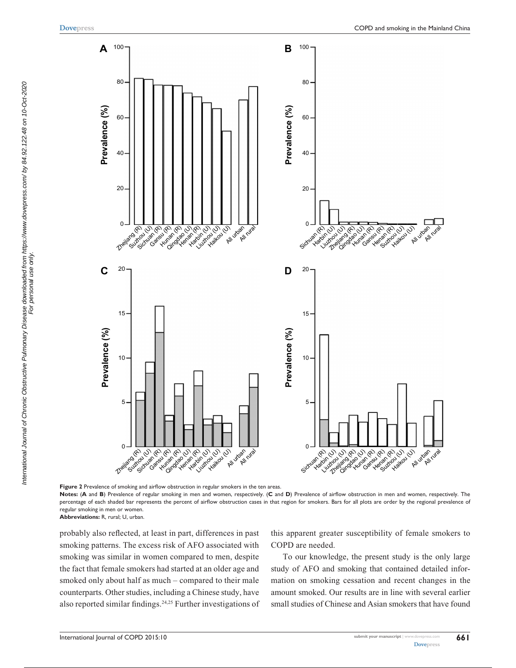

**Figure 2** Prevalence of smoking and airflow obstruction in regular smokers in the ten areas.

**Notes:** (**A** and **B**) Prevalence of regular smoking in men and women, respectively. (**C** and **D**) Prevalence of airflow obstruction in men and women, respectively. The percentage of each shaded bar represents the percent of airflow obstruction cases in that region for smokers. Bars for all plots are order by the regional prevalence of regular smoking in men or women. **Abbreviations:** R, rural; U, urban.

probably also reflected, at least in part, differences in past smoking patterns. The excess risk of AFO associated with smoking was similar in women compared to men, despite the fact that female smokers had started at an older age and smoked only about half as much – compared to their male counterparts. Other studies, including a Chinese study, have also reported similar findings.24,25 Further investigations of this apparent greater susceptibility of female smokers to COPD are needed.

To our knowledge, the present study is the only large study of AFO and smoking that contained detailed information on smoking cessation and recent changes in the amount smoked. Our results are in line with several earlier small studies of Chinese and Asian smokers that have found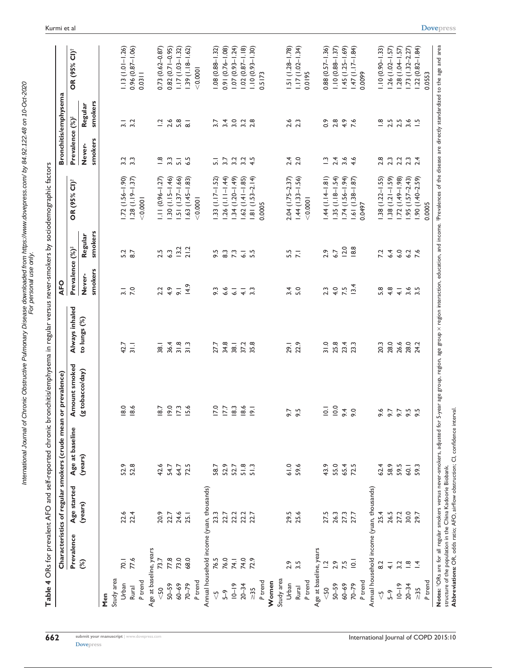AFO and self-reported chronic bronchitis/emphysema in regular versus never-smokers by sociodemographic factors

Table 4 ORs for prevalent AFO and self-reported chronic bronchitis/emphysema in regular versus never-smokers by sociodemographic factors

|                        |                                           |                                                            | Characteristics of regular smokers (crude mean or prevalence)                     |                                                                                                                                                                   |                | <b>AFO</b>                  |                                               |                          |                                                                      | Bronchitis/emphysema |                        |
|------------------------|-------------------------------------------|------------------------------------------------------------|-----------------------------------------------------------------------------------|-------------------------------------------------------------------------------------------------------------------------------------------------------------------|----------------|-----------------------------|-----------------------------------------------|--------------------------|----------------------------------------------------------------------|----------------------|------------------------|
|                        | Prevalence                                | Age started                                                | Age at baseline                                                                   | Amount smoked                                                                                                                                                     | Always inhaled | Prevalence (%) <sup>‡</sup> |                                               | OR (95% CI) <sup>†</sup> | Prevalence (%) <sup>‡</sup>                                          |                      | <b>OR (95% CI)</b>     |
|                        | $\mathcal{E}$                             | (years)                                                    | (years)                                                                           | (g tobacco/day)                                                                                                                                                   | to lungs (%)   | smokers<br>Never-           | smokers<br>Regular                            |                          | smokers<br>Never-                                                    | smokers<br>Regular   |                        |
| Study area<br>Men      |                                           |                                                            |                                                                                   |                                                                                                                                                                   |                |                             |                                               |                          |                                                                      |                      |                        |
| Urban                  | 70.1                                      | 22.6                                                       | 52.9                                                                              | 18.0                                                                                                                                                              | 42.7           | $\overline{3}$ .            |                                               | $1.72(1.56 - 1.90)$      |                                                                      |                      | $1.13(1.01 - 1.26)$    |
| Rural                  | 77.6                                      | 22.4                                                       | 52.8                                                                              | 18.6                                                                                                                                                              | 31.1           | 7.0                         | 5.7<br>8.7                                    | $1.28(1.19 - 1.37)$      | 3.3<br>3.3                                                           | $\frac{1}{3}$ .2     | $0.96$ $(0.87 - 1.06)$ |
| P trend                |                                           |                                                            |                                                                                   |                                                                                                                                                                   |                |                             |                                               | < 0.0001                 |                                                                      |                      | 0.0311                 |
| Age at baseline, years |                                           |                                                            |                                                                                   |                                                                                                                                                                   |                |                             |                                               |                          |                                                                      |                      |                        |
| $50$                   | 73.7                                      | 20.9                                                       | 42.6                                                                              | 18.7                                                                                                                                                              | 38.1           | 2.2                         | 2.5                                           | $1.11(0.96 - 1.27)$      | $\stackrel{\infty}{\underline{\ } }$                                 | $\overline{a}$       | $0.73(0.62 - 0.87)$    |
| $50 - 59$              | 77.8                                      | 22.7                                                       | 54.7                                                                              | 9.0                                                                                                                                                               | 36.4           | 4.9                         | 63                                            | $.30(1.15 - 1.46)$       | 3.3                                                                  |                      | $0.82(0.71 - 0.95)$    |
| $60 - 69$              | 73.0                                      | 24.6                                                       | 64.7                                                                              | 173                                                                                                                                                               | 31.3           | $\overline{\circ}$          | 13.2                                          | $1.51(1.37 - 1.66)$      | $\overline{5}$                                                       | 2.8                  | $1.17(1.03 - 1.32)$    |
| $70 - 79$              | 68.0                                      | 25.1                                                       | 72.5                                                                              | 15.6                                                                                                                                                              |                | 14.9                        | 21.2                                          | $1.63(1.45 - 1.83)$      | $\frac{5}{6}$                                                        | $\overline{\circ}$   | $1.39(1.18 - 1.62)$    |
| P trend                |                                           |                                                            |                                                                                   |                                                                                                                                                                   |                |                             |                                               | < 0.0001                 |                                                                      |                      | < 0.0001               |
|                        | Annual household income (yuan, thousands) |                                                            |                                                                                   |                                                                                                                                                                   |                |                             |                                               |                          |                                                                      |                      |                        |
| $\sqrt{2}$             | 76.5                                      | 23.3                                                       | 58.7                                                                              | 17.0                                                                                                                                                              | 27.7           | $\ddot{\mathrm{6}}$         | 5,6                                           | $1.33(1.17 - 1.52)$      | $\overline{5}$                                                       | $\overline{3.7}$     | $1.08$ $(0.88 - 1.32)$ |
| $5-9$                  | 76.0                                      | 22.7                                                       | 52.9                                                                              | 177                                                                                                                                                               | 34.8           | 6.6                         | $\stackrel{\textstyle\circ}{\textstyle\circ}$ | $1.26(1.11-1.44)$        | 3.7                                                                  |                      | $0.91(0.76 - 1.08)$    |
| $ 0 - 19$              | 74.1                                      | 22.2                                                       | 52.7                                                                              | 18.3                                                                                                                                                              | 38.1           | $\overline{\omega}$         | 73                                            | $.34(1.20 - 1.49)$       | 3.2                                                                  | $3.02$<br>$4.02$     | $1.07(0.93 - 1.24)$    |
| $20 - 34$              | 74.0                                      | 22.2                                                       | 51.8                                                                              | 18.6                                                                                                                                                              | 37.2           | $\overline{4}$              | $\overline{6}$                                | $1.62(1.41 - 1.85)$      |                                                                      |                      | $1.02(0.87 - 1.18)$    |
| $\geq 35$              | 72.9                                      | 22.7                                                       | 51.3                                                                              | $\overline{5}$                                                                                                                                                    | 35.8           | $\ddot{3}$                  | 5.5                                           | $1.81(1.53 - 2.14)$      | 4.5                                                                  | 2.8                  | $1.10(0.93 - 1.30)$    |
| P trend                |                                           |                                                            |                                                                                   |                                                                                                                                                                   |                |                             |                                               | 0.0005                   |                                                                      |                      | 0.5173                 |
| Women                  |                                           |                                                            |                                                                                   |                                                                                                                                                                   |                |                             |                                               |                          |                                                                      |                      |                        |
| Study area             |                                           |                                                            |                                                                                   |                                                                                                                                                                   |                |                             |                                               |                          |                                                                      |                      |                        |
| Urban                  | 2.9                                       | 29.5                                                       | $rac{0}{6}$                                                                       | 67                                                                                                                                                                | 29.1           | 3.4                         | 5.5                                           | 2.04 (1.75-2.37)         | 24                                                                   | 2.6                  | $1.51(1.28 - 1.78)$    |
| Rural                  | 3.5                                       | 25.6                                                       | 59.6                                                                              | 9.5                                                                                                                                                               | 22.9           | 5.0                         | $\overline{z}$                                | $1.44(1.33 - 1.56)$      | 2.0                                                                  | 2.3                  | $1.17(1.02 - 1.34)$    |
| P trend                |                                           |                                                            |                                                                                   |                                                                                                                                                                   |                |                             |                                               | < 0.0001                 |                                                                      |                      | 0.0195                 |
| Age at baseline, years |                                           |                                                            |                                                                                   |                                                                                                                                                                   |                |                             |                                               |                          |                                                                      |                      |                        |
| $50$                   | $\vec{c}$                                 | 27.5                                                       | 43.9                                                                              | $\overline{a}$                                                                                                                                                    | 31.0           | 2.3                         | 2.9                                           | $1.44(1.14-1.81)$        | $\mathrel{\mathop{\scriptstyle\mathop{\scriptstyle\circ}}\nolimits}$ | $\frac{6}{2}$        | $0.88(0.57 - 1.36)$    |
| $50 - 59$              | 2.9                                       | 26.3                                                       | 55.0                                                                              | 10.0                                                                                                                                                              | 25.8           | 4.0                         | 6.7                                           | $1.35(1.18 - 1.54)$      | 2.4                                                                  | 2.8                  | $1.10(0.88 - 1.37)$    |
| $60 - 69$              | 7.5                                       | 27.3                                                       | 65.4                                                                              | 9.4                                                                                                                                                               | 23.4           | 7.5                         | 12.0                                          | $1.74(1.56 - 1.94)$      | 3.6                                                                  | 4.9                  | $1.45(1.25-1.69)$      |
| $70 - 79$              | $\overline{a}$                            | 27.7                                                       | 72.5                                                                              | $\overline{9}$ .0                                                                                                                                                 | 23.3           | 13.4                        | 18.8                                          | $1.61(1.38 - 1.87)$      | 4.6                                                                  | 7.6                  | $1.47(1.17-1.84)$      |
| P trend                |                                           |                                                            |                                                                                   |                                                                                                                                                                   |                |                             |                                               | 0.0497                   |                                                                      |                      | 0.0099                 |
|                        | Annual household income (yuan, thousands) |                                                            |                                                                                   |                                                                                                                                                                   |                |                             |                                               |                          |                                                                      |                      |                        |
| $\sqrt{2}$             | 82                                        | 25.4                                                       | 62.4                                                                              | 9.6                                                                                                                                                               | 20.3           | 5.8                         | 72                                            | $1.38(1.22 - 1.55)$      | 2.8                                                                  | $\frac{8}{1}$        | $1.10(0.90 - 1.33)$    |
| $5-9$                  | $\overline{4}$                            | 26.5                                                       | 58.9                                                                              | 5.7                                                                                                                                                               | 28.0           | 4.8                         | 6.4                                           | $1.38(1.21 - 1.59)$      | 2.3                                                                  | 2.5                  | $1.26$ $(1.02 - 1.57)$ |
| $ 0 - 19$              | 3.2                                       | 27.2                                                       | 59.5                                                                              | 9.7                                                                                                                                                               | 26.6           | $\overline{+}$              | 6.0                                           | $1.72(1.49 - 1.98)$      | 2.2                                                                  | 2.5                  | $1.28(1.04 - 1.57)$    |
| $20 - 34$              | $\frac{8}{10}$                            | 30.0                                                       | $\overline{5}$                                                                    | 9.5                                                                                                                                                               | 28.0           | 3.6                         | 6.2                                           | $1.95(1.57 - 2.43)$      | 2.3                                                                  | $3.6$<br>$-5$        | $1.73(1.32 - 2.27)$    |
| $\geq 35$              |                                           | 29.7                                                       | 59.3                                                                              | -n<br>$\sim$                                                                                                                                                      | 24.2           | -LQ<br>$\sim$               | 7.6                                           | $1.90(1.40 - 2.59)$      | 2.4                                                                  |                      | $1.22(0.82 - 1.84)$    |
| P trend                |                                           |                                                            |                                                                                   |                                                                                                                                                                   |                |                             |                                               | 0.0005                   |                                                                      |                      | 0.0553                 |
|                        |                                           |                                                            | Notes: *ORs are for all regular smokers versus never-smokers, adjusted for        | 5-year age group, region, age group $\times$ region interaction, education, and income. ‡Prevalences of the disease are directly standardized to the age and area |                |                             |                                               |                          |                                                                      |                      |                        |
|                        |                                           | structure of the population in the China Kadoorie Biobank. |                                                                                   |                                                                                                                                                                   |                |                             |                                               |                          |                                                                      |                      |                        |
|                        |                                           |                                                            | Abbreviations: OR, odds ratio; AFO, airflow obstruction; CI, confidence interval. |                                                                                                                                                                   |                |                             |                                               |                          |                                                                      |                      |                        |

**Table 4** O

Rs for prevalent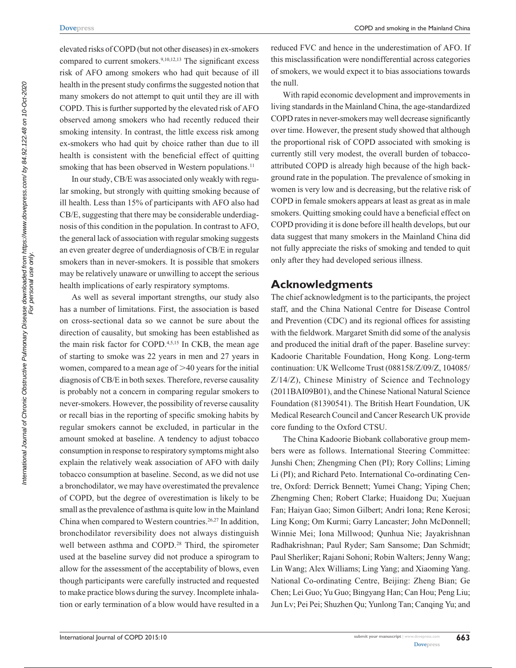elevated risks of COPD (but not other diseases) in ex-smokers compared to current smokers.<sup>9,10,12,13</sup> The significant excess risk of AFO among smokers who had quit because of ill health in the present study confirms the suggested notion that many smokers do not attempt to quit until they are ill with COPD. This is further supported by the elevated risk of AFO observed among smokers who had recently reduced their smoking intensity. In contrast, the little excess risk among ex-smokers who had quit by choice rather than due to ill health is consistent with the beneficial effect of quitting smoking that has been observed in Western populations.<sup>11</sup>

In our study, CB/E was associated only weakly with regular smoking, but strongly with quitting smoking because of ill health. Less than 15% of participants with AFO also had CB/E, suggesting that there may be considerable underdiagnosis of this condition in the population. In contrast to AFO, the general lack of association with regular smoking suggests an even greater degree of underdiagnosis of CB/E in regular smokers than in never-smokers. It is possible that smokers may be relatively unaware or unwilling to accept the serious health implications of early respiratory symptoms.

As well as several important strengths, our study also has a number of limitations. First, the association is based on cross-sectional data so we cannot be sure about the direction of causality, but smoking has been established as the main risk factor for COPD.<sup>4,5,15</sup> In CKB, the mean age of starting to smoke was 22 years in men and 27 years in women, compared to a mean age of  $>40$  years for the initial diagnosis of CB/E in both sexes. Therefore, reverse causality is probably not a concern in comparing regular smokers to never-smokers. However, the possibility of reverse causality or recall bias in the reporting of specific smoking habits by regular smokers cannot be excluded, in particular in the amount smoked at baseline. A tendency to adjust tobacco consumption in response to respiratory symptoms might also explain the relatively weak association of AFO with daily tobacco consumption at baseline. Second, as we did not use a bronchodilator, we may have overestimated the prevalence of COPD, but the degree of overestimation is likely to be small as the prevalence of asthma is quite low in the Mainland China when compared to Western countries.<sup>26,27</sup> In addition, bronchodilator reversibility does not always distinguish well between asthma and COPD.<sup>28</sup> Third, the spirometer used at the baseline survey did not produce a spirogram to allow for the assessment of the acceptability of blows, even though participants were carefully instructed and requested to make practice blows during the survey. Incomplete inhalation or early termination of a blow would have resulted in a reduced FVC and hence in the underestimation of AFO. If this misclassification were nondifferential across categories of smokers, we would expect it to bias associations towards the null.

With rapid economic development and improvements in living standards in the Mainland China, the age-standardized COPD rates in never-smokers may well decrease significantly over time. However, the present study showed that although the proportional risk of COPD associated with smoking is currently still very modest, the overall burden of tobaccoattributed COPD is already high because of the high background rate in the population. The prevalence of smoking in women is very low and is decreasing, but the relative risk of COPD in female smokers appears at least as great as in male smokers. Quitting smoking could have a beneficial effect on COPD providing it is done before ill health develops, but our data suggest that many smokers in the Mainland China did not fully appreciate the risks of smoking and tended to quit only after they had developed serious illness.

### **Acknowledgments**

The chief acknowledgment is to the participants, the project staff, and the China National Centre for Disease Control and Prevention (CDC) and its regional offices for assisting with the fieldwork. Margaret Smith did some of the analysis and produced the initial draft of the paper. Baseline survey: Kadoorie Charitable Foundation, Hong Kong. Long-term continuation: UK Wellcome Trust (088158/Z/09/Z, 104085/ Z/14/Z), Chinese Ministry of Science and Technology (2011BAI09B01), and the Chinese National Natural Science Foundation (81390541). The British Heart Foundation, UK Medical Research Council and Cancer Research UK provide core funding to the Oxford CTSU.

The China Kadoorie Biobank collaborative group members were as follows. International Steering Committee: Junshi Chen; Zhengming Chen (PI); Rory Collins; Liming Li (PI); and Richard Peto. International Co-ordinating Centre, Oxford: Derrick Bennett; Yumei Chang; Yiping Chen; Zhengming Chen; Robert Clarke; Huaidong Du; Xuejuan Fan; Haiyan Gao; Simon Gilbert; Andri Iona; Rene Kerosi; Ling Kong; Om Kurmi; Garry Lancaster; John McDonnell; Winnie Mei; Iona Millwood; Qunhua Nie; Jayakrishnan Radhakrishnan; Paul Ryder; Sam Sansome; Dan Schmidt; Paul Sherliker; Rajani Sohoni; Robin Walters; Jenny Wang; Lin Wang; Alex Williams; Ling Yang; and Xiaoming Yang. National Co-ordinating Centre, Beijing: Zheng Bian; Ge Chen; Lei Guo; Yu Guo; Bingyang Han; Can Hou; Peng Liu; Jun Lv; Pei Pei; Shuzhen Qu; Yunlong Tan; Canqing Yu; and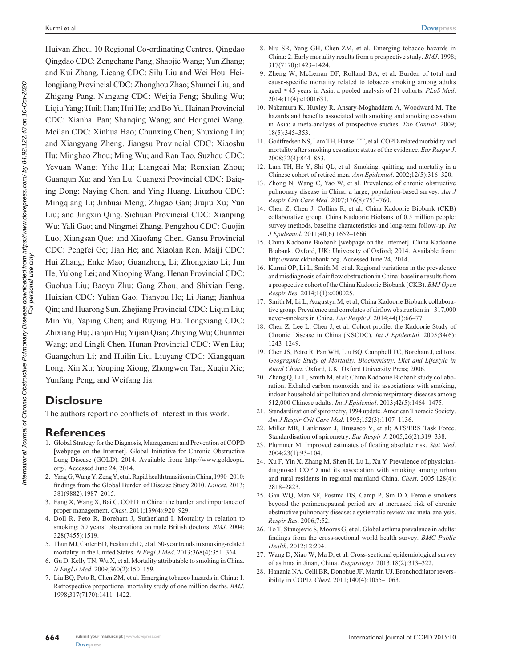Huiyan Zhou. 10 Regional Co-ordinating Centres, Qingdao Qingdao CDC: Zengchang Pang; Shaojie Wang; Yun Zhang; and Kui Zhang. Licang CDC: Silu Liu and Wei Hou. Heilongjiang Provincial CDC: Zhonghou Zhao; Shumei Liu; and Zhigang Pang. Nangang CDC: Weijia Feng; Shuling Wu; Liqiu Yang; Huili Han; Hui He; and Bo Yu. Hainan Provincial CDC: Xianhai Pan; Shanqing Wang; and Hongmei Wang. Meilan CDC: Xinhua Hao; Chunxing Chen; Shuxiong Lin; and Xiangyang Zheng. Jiangsu Provincial CDC: Xiaoshu Hu; Minghao Zhou; Ming Wu; and Ran Tao. Suzhou CDC: Yeyuan Wang; Yihe Hu; Liangcai Ma; Renxian Zhou; Guanqun Xu; and Yan Lu. Guangxi Provincial CDC: Baiqing Dong; Naying Chen; and Ying Huang. Liuzhou CDC: Mingqiang Li; Jinhuai Meng; Zhigao Gan; Jiujiu Xu; Yun Liu; and Jingxin Qing. Sichuan Provincial CDC: Xianping Wu; Yali Gao; and Ningmei Zhang. Pengzhou CDC: Guojin Luo; Xiangsan Que; and Xiaofang Chen. Gansu Provincial CDC: Pengfei Ge; Jian He; and Xiaolan Ren. Maiji CDC: Hui Zhang; Enke Mao; Guanzhong Li; Zhongxiao Li; Jun He; Yulong Lei; and Xiaoping Wang. Henan Provincial CDC: Guohua Liu; Baoyu Zhu; Gang Zhou; and Shixian Feng. Huixian CDC: Yulian Gao; Tianyou He; Li Jiang; Jianhua Qin; and Huarong Sun. Zhejiang Provincial CDC: Liqun Liu; Min Yu; Yaping Chen; and Ruying Hu. Tongxiang CDC: Zhixiang Hu; Jianjin Hu; Yijian Qian; Zhiying Wu; Chunmei Wang; and Lingli Chen. Hunan Provincial CDC: Wen Liu; Guangchun Li; and Huilin Liu. Liuyang CDC: Xiangquan Long; Xin Xu; Youping Xiong; Zhongwen Tan; Xuqiu Xie; Yunfang Peng; and Weifang Jia.

## **Disclosure**

The authors report no conflicts of interest in this work.

#### **References**

- 1. Global Strategy for the Diagnosis, Management and Prevention of COPD [webpage on the Internet]. Global Initiative for Chronic Obstructive Lung Disease (GOLD). 2014. Available from: [http://www.goldcopd.](http://www.goldcopd.org/) [org/.](http://www.goldcopd.org/) Accessed June 24, 2014.
- 2. Yang G, Wang Y, Zeng Y, et al. Rapid health transition in China, 1990–2010: findings from the Global Burden of Disease Study 2010. *Lancet*. 2013; 381(9882):1987–2015.
- 3. Fang X, Wang X, Bai C. COPD in China: the burden and importance of proper management. *Chest*. 2011;139(4):920–929.
- 4. Doll R, Peto R, Boreham J, Sutherland I. Mortality in relation to smoking: 50 years' observations on male British doctors. *BMJ*. 2004; 328(7455):1519.
- 5. Thun MJ, Carter BD, Feskanich D, et al. 50-year trends in smoking-related mortality in the United States. *N Engl J Med*. 2013;368(4):351–364.
- 6. Gu D, Kelly TN, Wu X, et al. Mortality attributable to smoking in China. *N Engl J Med*. 2009;360(2):150–159.
- 7. Liu BQ, Peto R, Chen ZM, et al. Emerging tobacco hazards in China: 1. Retrospective proportional mortality study of one million deaths. *BMJ*. 1998;317(7170):1411–1422.
- 8. Niu SR, Yang GH, Chen ZM, et al. Emerging tobacco hazards in China: 2. Early mortality results from a prospective study. *BMJ*. 1998; 317(7170):1423–1424.
- 9. Zheng W, McLerran DF, Rolland BA, et al. Burden of total and cause-specific mortality related to tobacco smoking among adults aged 45 years in Asia: a pooled analysis of 21 cohorts. *PLoS Med*. 2014;11(4):e1001631.
- 10. Nakamura K, Huxley R, Ansary-Moghaddam A, Woodward M. The hazards and benefits associated with smoking and smoking cessation in Asia: a meta-analysis of prospective studies. *Tob Control*. 2009; 18(5):345–353.
- 11. Godtfredsen NS, Lam TH, Hansel TT, et al. COPD-related morbidity and mortality after smoking cessation: status of the evidence. *Eur Respir J*. 2008;32(4):844–853.
- 12. Lam TH, He Y, Shi QL, et al. Smoking, quitting, and mortality in a Chinese cohort of retired men. *Ann Epidemiol*. 2002;12(5):316–320.
- 13. Zhong N, Wang C, Yao W, et al. Prevalence of chronic obstructive pulmonary disease in China: a large, population-based survey. *Am J Respir Crit Care Med*. 2007;176(8):753–760.
- 14. Chen Z, Chen J, Collins R, et al; China Kadoorie Biobank (CKB) collaborative group. China Kadoorie Biobank of 0.5 million people: survey methods, baseline characteristics and long-term follow-up. *Int J Epidemiol*. 2011;40(6):1652–1666.
- 15. China Kadoorie Biobank [webpage on the Internet]. China Kadoorie Biobank. Oxford, UK: University of Oxford; 2014. Available from: <http://www.ckbiobank.org>. Accessed June 24, 2014.
- 16. Kurmi OP, Li L, Smith M, et al. Regional variations in the prevalence and misdiagnosis of air flow obstruction in China: baseline results from a prospective cohort of the China Kadoorie Biobank (CKB). *BMJ Open Respir Res*. 2014;1(1):e000025.
- 17. Smith M, Li L, Augustyn M, et al; China Kadoorie Biobank collaborative group. Prevalence and correlates of airflow obstruction in ~317,000 never-smokers in China. *Eur Respir J*. 2014;44(1):66–77.
- 18. Chen Z, Lee L, Chen J, et al. Cohort profile: the Kadoorie Study of Chronic Disease in China (KSCDC). *Int J Epidemiol*. 2005;34(6): 1243–1249.
- 19. Chen JS, Petro R, Pan WH, Liu BQ, Campbell TC, Boreham J, editors. *Geographic Study of Mortality, Biochemistry, Diet and Lifestyle in Rural China*. Oxford, UK: Oxford University Press; 2006.
- 20. Zhang Q, Li L, Smith M, et al; China Kadoorie Biobank study collaboration. Exhaled carbon monoxide and its associations with smoking, indoor household air pollution and chronic respiratory diseases among 512,000 Chinese adults. *Int J Epidemiol*. 2013;42(5):1464–1475.
- 21. Standardization of spirometry, 1994 update. American Thoracic Society. *Am J Respir Crit Care Med*. 1995;152(3):1107–1136.
- 22. Miller MR, Hankinson J, Brusasco V, et al; ATS/ERS Task Force. Standardisation of spirometry. *Eur Respir J*. 2005;26(2):319–338.
- 23. Plummer M. Improved estimates of floating absolute risk. *Stat Med*. 2004;23(1):93–104.
- 24. Xu F, Yin X, Zhang M, Shen H, Lu L, Xu Y. Prevalence of physiciandiagnosed COPD and its association with smoking among urban and rural residents in regional mainland China. *Chest*. 2005;128(4): 2818–2823.
- 25. Gan WQ, Man SF, Postma DS, Camp P, Sin DD. Female smokers beyond the perimenopausal period are at increased risk of chronic obstructive pulmonary disease: a systematic review and meta-analysis. *Respir Res*. 2006;7:52.
- 26. To T, Stanojevic S, Moores G, et al. Global asthma prevalence in adults: findings from the cross-sectional world health survey. *BMC Public Health*. 2012;12:204.
- 27. Wang D, Xiao W, Ma D, et al. Cross-sectional epidemiological survey of asthma in Jinan, China. *Respirology*. 2013;18(2):313–322.
- 28. Hanania NA, Celli BR, Donohue JF, Martin UJ. Bronchodilator reversibility in COPD. *Chest*. 2011;140(4):1055–1063.